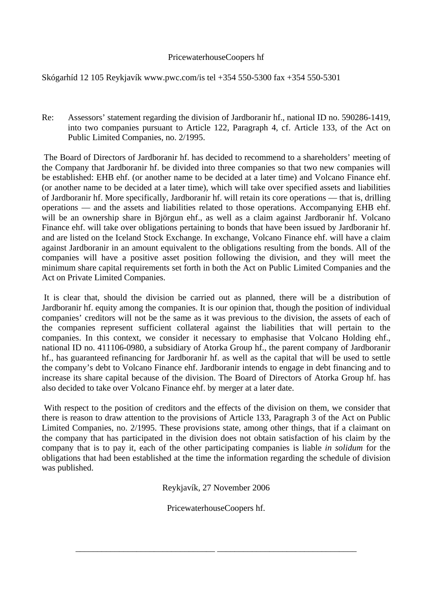## PricewaterhouseCoopers hf

Skógarhíd 12 105 Reykjavík www.pwc.com/is tel +354 550-5300 fax +354 550-5301

Re: Assessors' statement regarding the division of Jardboranir hf., national ID no. 590286-1419, into two companies pursuant to Article 122, Paragraph 4, cf. Article 133, of the Act on Public Limited Companies, no. 2/1995.

 The Board of Directors of Jardboranir hf. has decided to recommend to a shareholders' meeting of the Company that Jardboranir hf. be divided into three companies so that two new companies will be established: EHB ehf. (or another name to be decided at a later time) and Volcano Finance ehf. (or another name to be decided at a later time), which will take over specified assets and liabilities of Jardboranir hf. More specifically, Jardboranir hf. will retain its core operations — that is, drilling operations — and the assets and liabilities related to those operations. Accompanying EHB ehf. will be an ownership share in Björgun ehf., as well as a claim against Jardboranir hf. Volcano Finance ehf. will take over obligations pertaining to bonds that have been issued by Jardboranir hf. and are listed on the Iceland Stock Exchange. In exchange, Volcano Finance ehf. will have a claim against Jardboranir in an amount equivalent to the obligations resulting from the bonds. All of the companies will have a positive asset position following the division, and they will meet the minimum share capital requirements set forth in both the Act on Public Limited Companies and the Act on Private Limited Companies.

 It is clear that, should the division be carried out as planned, there will be a distribution of Jardboranir hf. equity among the companies. It is our opinion that, though the position of individual companies' creditors will not be the same as it was previous to the division, the assets of each of the companies represent sufficient collateral against the liabilities that will pertain to the companies. In this context, we consider it necessary to emphasise that Volcano Holding ehf., national ID no. 411106-0980, a subsidiary of Atorka Group hf., the parent company of Jardboranir hf., has guaranteed refinancing for Jardboranir hf. as well as the capital that will be used to settle the company's debt to Volcano Finance ehf. Jardboranir intends to engage in debt financing and to increase its share capital because of the division. The Board of Directors of Atorka Group hf. has also decided to take over Volcano Finance ehf. by merger at a later date.

 With respect to the position of creditors and the effects of the division on them, we consider that there is reason to draw attention to the provisions of Article 133, Paragraph 3 of the Act on Public Limited Companies, no. 2/1995. These provisions state, among other things, that if a claimant on the company that has participated in the division does not obtain satisfaction of his claim by the company that is to pay it, each of the other participating companies is liable *in solidum* for the obligations that had been established at the time the information regarding the schedule of division was published.

Reykjavík, 27 November 2006

PricewaterhouseCoopers hf.

\_\_\_\_\_\_\_\_\_\_\_\_\_\_\_\_\_\_\_\_\_\_\_\_\_\_\_\_\_\_\_\_ \_\_\_\_\_\_\_\_\_\_\_\_\_\_\_\_\_\_\_\_\_\_\_\_\_\_\_\_\_\_\_\_